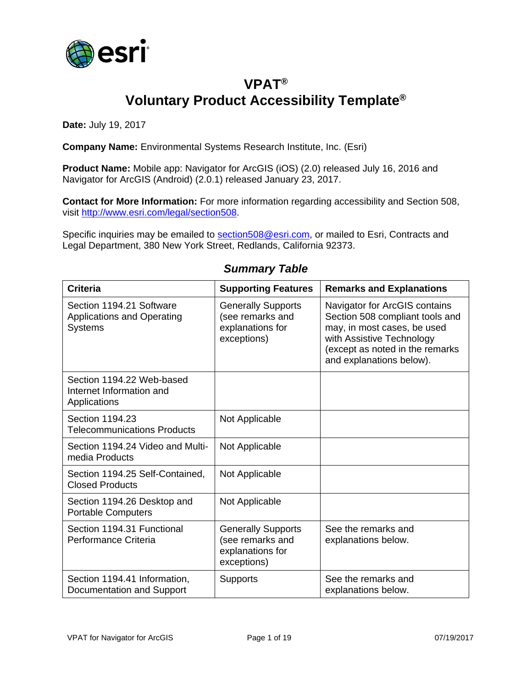

### **VPAT® Voluntary Product Accessibility Template®**

**Date:** July 19, 2017

**Company Name:** Environmental Systems Research Institute, Inc. (Esri)

**Product Name:** Mobile app: Navigator for ArcGIS (iOS) (2.0) released July 16, 2016 and Navigator for ArcGIS (Android) (2.0.1) released January 23, 2017.

**Contact for More Information:** For more information regarding accessibility and Section 508, visit [http://www.esri.com/legal/section508.](http://www.esri.com/legal/section508)

Specific inquiries may be emailed to [section508@esri.com,](mailto:section508@esri.com) or mailed to Esri, Contracts and Legal Department, 380 New York Street, Redlands, California 92373.

| <b>Criteria</b>                                                                 | <b>Supporting Features</b>                                                       | <b>Remarks and Explanations</b>                                                                                                                                                             |
|---------------------------------------------------------------------------------|----------------------------------------------------------------------------------|---------------------------------------------------------------------------------------------------------------------------------------------------------------------------------------------|
| Section 1194.21 Software<br><b>Applications and Operating</b><br><b>Systems</b> | <b>Generally Supports</b><br>(see remarks and<br>explanations for<br>exceptions) | Navigator for ArcGIS contains<br>Section 508 compliant tools and<br>may, in most cases, be used<br>with Assistive Technology<br>(except as noted in the remarks<br>and explanations below). |
| Section 1194.22 Web-based<br>Internet Information and<br>Applications           |                                                                                  |                                                                                                                                                                                             |
| Section 1194.23<br><b>Telecommunications Products</b>                           | Not Applicable                                                                   |                                                                                                                                                                                             |
| Section 1194.24 Video and Multi-<br>media Products                              | Not Applicable                                                                   |                                                                                                                                                                                             |
| Section 1194.25 Self-Contained,<br><b>Closed Products</b>                       | Not Applicable                                                                   |                                                                                                                                                                                             |
| Section 1194.26 Desktop and<br><b>Portable Computers</b>                        | Not Applicable                                                                   |                                                                                                                                                                                             |
| Section 1194.31 Functional<br>Performance Criteria                              | <b>Generally Supports</b><br>(see remarks and<br>explanations for<br>exceptions) | See the remarks and<br>explanations below.                                                                                                                                                  |
| Section 1194.41 Information,<br>Documentation and Support                       | <b>Supports</b>                                                                  | See the remarks and<br>explanations below.                                                                                                                                                  |

#### *Summary Table*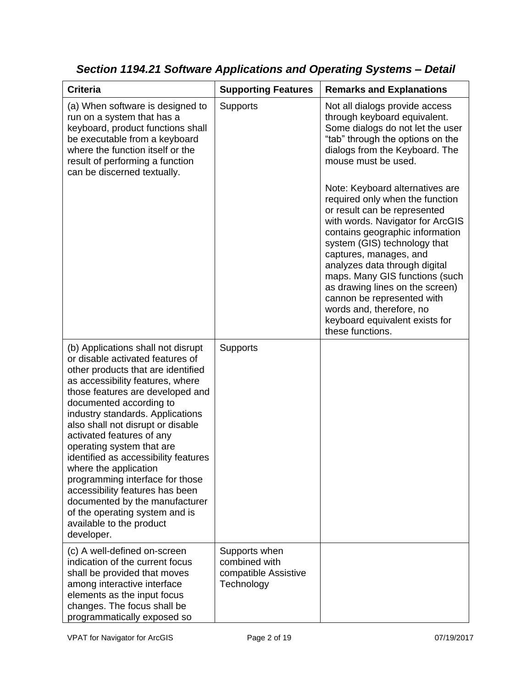| <b>Criteria</b>                                                                                                                                                                                                                                                                                                                                                                                                                                                                                                                                                                                         | <b>Supporting Features</b>                                           | <b>Remarks and Explanations</b>                                                                                                                                                                                                                                                                                                                                                                                                                           |
|---------------------------------------------------------------------------------------------------------------------------------------------------------------------------------------------------------------------------------------------------------------------------------------------------------------------------------------------------------------------------------------------------------------------------------------------------------------------------------------------------------------------------------------------------------------------------------------------------------|----------------------------------------------------------------------|-----------------------------------------------------------------------------------------------------------------------------------------------------------------------------------------------------------------------------------------------------------------------------------------------------------------------------------------------------------------------------------------------------------------------------------------------------------|
| (a) When software is designed to<br>run on a system that has a<br>keyboard, product functions shall<br>be executable from a keyboard<br>where the function itself or the<br>result of performing a function<br>can be discerned textually.                                                                                                                                                                                                                                                                                                                                                              | <b>Supports</b>                                                      | Not all dialogs provide access<br>through keyboard equivalent.<br>Some dialogs do not let the user<br>"tab" through the options on the<br>dialogs from the Keyboard. The<br>mouse must be used.                                                                                                                                                                                                                                                           |
|                                                                                                                                                                                                                                                                                                                                                                                                                                                                                                                                                                                                         |                                                                      | Note: Keyboard alternatives are<br>required only when the function<br>or result can be represented<br>with words. Navigator for ArcGIS<br>contains geographic information<br>system (GIS) technology that<br>captures, manages, and<br>analyzes data through digital<br>maps. Many GIS functions (such<br>as drawing lines on the screen)<br>cannon be represented with<br>words and, therefore, no<br>keyboard equivalent exists for<br>these functions. |
| (b) Applications shall not disrupt<br>or disable activated features of<br>other products that are identified<br>as accessibility features, where<br>those features are developed and<br>documented according to<br>industry standards. Applications<br>also shall not disrupt or disable<br>activated features of any<br>operating system that are<br>identified as accessibility features<br>where the application<br>programming interface for those<br>accessibility features has been<br>documented by the manufacturer<br>of the operating system and is<br>available to the product<br>developer. | Supports                                                             |                                                                                                                                                                                                                                                                                                                                                                                                                                                           |
| (c) A well-defined on-screen<br>indication of the current focus<br>shall be provided that moves<br>among interactive interface<br>elements as the input focus<br>changes. The focus shall be<br>programmatically exposed so                                                                                                                                                                                                                                                                                                                                                                             | Supports when<br>combined with<br>compatible Assistive<br>Technology |                                                                                                                                                                                                                                                                                                                                                                                                                                                           |

*Section 1194.21 Software Applications and Operating Systems – Detail*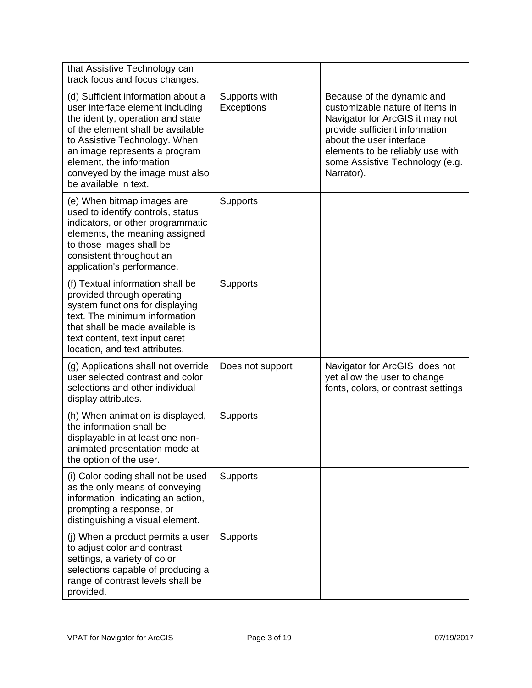| that Assistive Technology can<br>track focus and focus changes.                                                                                                                                                                                                                                            |                                    |                                                                                                                                                                                                                                                     |
|------------------------------------------------------------------------------------------------------------------------------------------------------------------------------------------------------------------------------------------------------------------------------------------------------------|------------------------------------|-----------------------------------------------------------------------------------------------------------------------------------------------------------------------------------------------------------------------------------------------------|
| (d) Sufficient information about a<br>user interface element including<br>the identity, operation and state<br>of the element shall be available<br>to Assistive Technology. When<br>an image represents a program<br>element, the information<br>conveyed by the image must also<br>be available in text. | Supports with<br><b>Exceptions</b> | Because of the dynamic and<br>customizable nature of items in<br>Navigator for ArcGIS it may not<br>provide sufficient information<br>about the user interface<br>elements to be reliably use with<br>some Assistive Technology (e.g.<br>Narrator). |
| (e) When bitmap images are<br>used to identify controls, status<br>indicators, or other programmatic<br>elements, the meaning assigned<br>to those images shall be<br>consistent throughout an<br>application's performance.                                                                               | <b>Supports</b>                    |                                                                                                                                                                                                                                                     |
| (f) Textual information shall be<br>provided through operating<br>system functions for displaying<br>text. The minimum information<br>that shall be made available is<br>text content, text input caret<br>location, and text attributes.                                                                  | Supports                           |                                                                                                                                                                                                                                                     |
| (g) Applications shall not override<br>user selected contrast and color<br>selections and other individual<br>display attributes.                                                                                                                                                                          | Does not support                   | Navigator for ArcGIS does not<br>yet allow the user to change<br>fonts, colors, or contrast settings                                                                                                                                                |
| (h) When animation is displayed,<br>the information shall be<br>displayable in at least one non-<br>animated presentation mode at<br>the option of the user.                                                                                                                                               | Supports                           |                                                                                                                                                                                                                                                     |
| (i) Color coding shall not be used<br>as the only means of conveying<br>information, indicating an action,<br>prompting a response, or<br>distinguishing a visual element.                                                                                                                                 | Supports                           |                                                                                                                                                                                                                                                     |
| (j) When a product permits a user<br>to adjust color and contrast<br>settings, a variety of color<br>selections capable of producing a<br>range of contrast levels shall be<br>provided.                                                                                                                   | <b>Supports</b>                    |                                                                                                                                                                                                                                                     |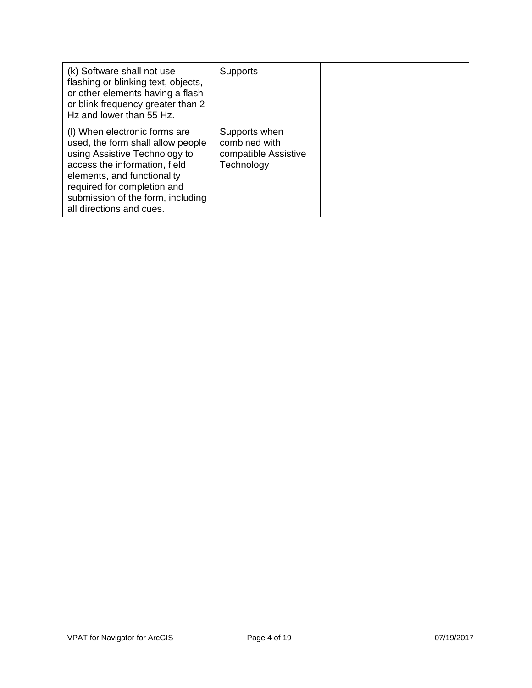| (k) Software shall not use<br>flashing or blinking text, objects,<br>or other elements having a flash<br>or blink frequency greater than 2<br>Hz and lower than 55 Hz.                                                                                              | <b>Supports</b>                                                      |  |
|---------------------------------------------------------------------------------------------------------------------------------------------------------------------------------------------------------------------------------------------------------------------|----------------------------------------------------------------------|--|
| (I) When electronic forms are<br>used, the form shall allow people<br>using Assistive Technology to<br>access the information, field<br>elements, and functionality<br>required for completion and<br>submission of the form, including<br>all directions and cues. | Supports when<br>combined with<br>compatible Assistive<br>Technology |  |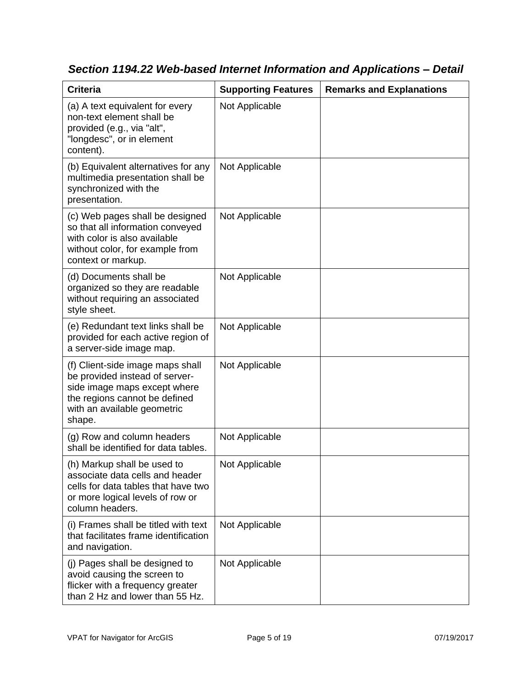| <b>Criteria</b>                                                                                                                                                              | <b>Supporting Features</b> | <b>Remarks and Explanations</b> |
|------------------------------------------------------------------------------------------------------------------------------------------------------------------------------|----------------------------|---------------------------------|
| (a) A text equivalent for every<br>non-text element shall be<br>provided (e.g., via "alt",<br>"longdesc", or in element<br>content).                                         | Not Applicable             |                                 |
| (b) Equivalent alternatives for any<br>multimedia presentation shall be<br>synchronized with the<br>presentation.                                                            | Not Applicable             |                                 |
| (c) Web pages shall be designed<br>so that all information conveyed<br>with color is also available<br>without color, for example from<br>context or markup.                 | Not Applicable             |                                 |
| (d) Documents shall be<br>organized so they are readable<br>without requiring an associated<br>style sheet.                                                                  | Not Applicable             |                                 |
| (e) Redundant text links shall be<br>provided for each active region of<br>a server-side image map.                                                                          | Not Applicable             |                                 |
| (f) Client-side image maps shall<br>be provided instead of server-<br>side image maps except where<br>the regions cannot be defined<br>with an available geometric<br>shape. | Not Applicable             |                                 |
| (g) Row and column headers<br>shall be identified for data tables.                                                                                                           | Not Applicable             |                                 |
| (h) Markup shall be used to<br>associate data cells and header<br>cells for data tables that have two<br>or more logical levels of row or<br>column headers.                 | Not Applicable             |                                 |
| (i) Frames shall be titled with text<br>that facilitates frame identification<br>and navigation.                                                                             | Not Applicable             |                                 |
| (j) Pages shall be designed to<br>avoid causing the screen to<br>flicker with a frequency greater<br>than 2 Hz and lower than 55 Hz.                                         | Not Applicable             |                                 |

*Section 1194.22 Web-based Internet Information and Applications – Detail*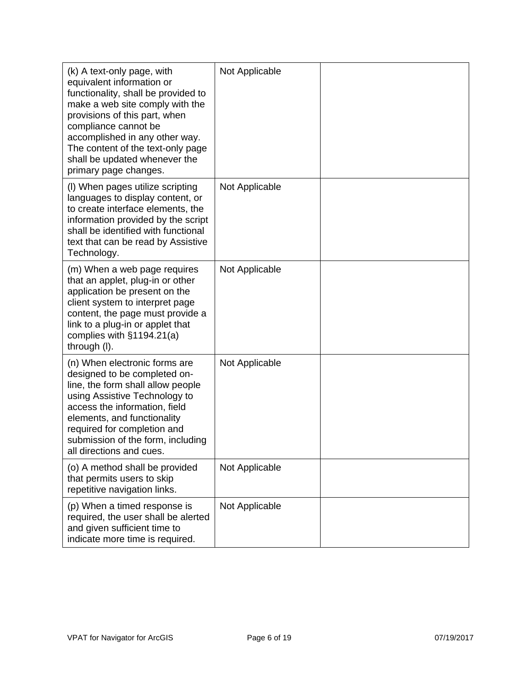| (k) A text-only page, with<br>equivalent information or<br>functionality, shall be provided to<br>make a web site comply with the<br>provisions of this part, when<br>compliance cannot be<br>accomplished in any other way.<br>The content of the text-only page<br>shall be updated whenever the<br>primary page changes. | Not Applicable |  |
|-----------------------------------------------------------------------------------------------------------------------------------------------------------------------------------------------------------------------------------------------------------------------------------------------------------------------------|----------------|--|
| (I) When pages utilize scripting<br>languages to display content, or<br>to create interface elements, the<br>information provided by the script<br>shall be identified with functional<br>text that can be read by Assistive<br>Technology.                                                                                 | Not Applicable |  |
| (m) When a web page requires<br>that an applet, plug-in or other<br>application be present on the<br>client system to interpret page<br>content, the page must provide a<br>link to a plug-in or applet that<br>complies with $§1194.21(a)$<br>through (I).                                                                 | Not Applicable |  |
| (n) When electronic forms are<br>designed to be completed on-<br>line, the form shall allow people<br>using Assistive Technology to<br>access the information, field<br>elements, and functionality<br>required for completion and<br>submission of the form, including<br>all directions and cues.                         | Not Applicable |  |
| (o) A method shall be provided<br>that permits users to skip<br>repetitive navigation links.                                                                                                                                                                                                                                | Not Applicable |  |
| (p) When a timed response is<br>required, the user shall be alerted<br>and given sufficient time to<br>indicate more time is required.                                                                                                                                                                                      | Not Applicable |  |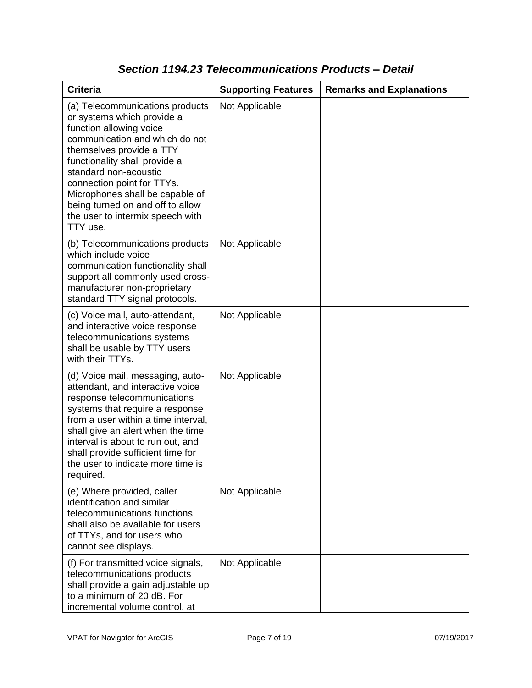| <b>Criteria</b>                                                                                                                                                                                                                                                                                                                                                       | <b>Supporting Features</b> | <b>Remarks and Explanations</b> |
|-----------------------------------------------------------------------------------------------------------------------------------------------------------------------------------------------------------------------------------------------------------------------------------------------------------------------------------------------------------------------|----------------------------|---------------------------------|
| (a) Telecommunications products<br>or systems which provide a<br>function allowing voice<br>communication and which do not<br>themselves provide a TTY<br>functionality shall provide a<br>standard non-acoustic<br>connection point for TTYs.<br>Microphones shall be capable of<br>being turned on and off to allow<br>the user to intermix speech with<br>TTY use. | Not Applicable             |                                 |
| (b) Telecommunications products<br>which include voice<br>communication functionality shall<br>support all commonly used cross-<br>manufacturer non-proprietary<br>standard TTY signal protocols.                                                                                                                                                                     | Not Applicable             |                                 |
| (c) Voice mail, auto-attendant,<br>and interactive voice response<br>telecommunications systems<br>shall be usable by TTY users<br>with their TTYs.                                                                                                                                                                                                                   | Not Applicable             |                                 |
| (d) Voice mail, messaging, auto-<br>attendant, and interactive voice<br>response telecommunications<br>systems that require a response<br>from a user within a time interval,<br>shall give an alert when the time<br>interval is about to run out, and<br>shall provide sufficient time for<br>the user to indicate more time is<br>required.                        | Not Applicable             |                                 |
| (e) Where provided, caller<br>identification and similar<br>telecommunications functions<br>shall also be available for users<br>of TTYs, and for users who<br>cannot see displays.                                                                                                                                                                                   | Not Applicable             |                                 |
| (f) For transmitted voice signals,<br>telecommunications products<br>shall provide a gain adjustable up<br>to a minimum of 20 dB. For<br>incremental volume control, at                                                                                                                                                                                               | Not Applicable             |                                 |

### *Section 1194.23 Telecommunications Products – Detail*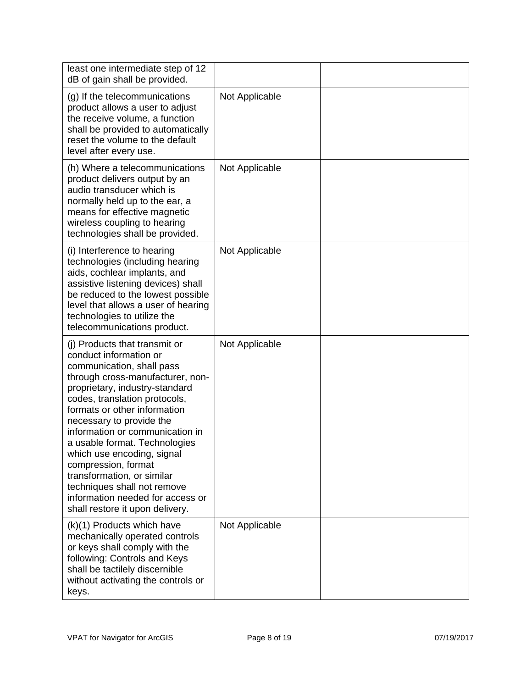| least one intermediate step of 12<br>dB of gain shall be provided.                                                                                                                                                                                                                                                                                                                                                                                                                                                   |                |  |
|----------------------------------------------------------------------------------------------------------------------------------------------------------------------------------------------------------------------------------------------------------------------------------------------------------------------------------------------------------------------------------------------------------------------------------------------------------------------------------------------------------------------|----------------|--|
| (g) If the telecommunications<br>product allows a user to adjust<br>the receive volume, a function<br>shall be provided to automatically<br>reset the volume to the default<br>level after every use.                                                                                                                                                                                                                                                                                                                | Not Applicable |  |
| (h) Where a telecommunications<br>product delivers output by an<br>audio transducer which is<br>normally held up to the ear, a<br>means for effective magnetic<br>wireless coupling to hearing<br>technologies shall be provided.                                                                                                                                                                                                                                                                                    | Not Applicable |  |
| (i) Interference to hearing<br>technologies (including hearing<br>aids, cochlear implants, and<br>assistive listening devices) shall<br>be reduced to the lowest possible<br>level that allows a user of hearing<br>technologies to utilize the<br>telecommunications product.                                                                                                                                                                                                                                       | Not Applicable |  |
| (i) Products that transmit or<br>conduct information or<br>communication, shall pass<br>through cross-manufacturer, non-<br>proprietary, industry-standard<br>codes, translation protocols,<br>formats or other information<br>necessary to provide the<br>information or communication in<br>a usable format. Technologies<br>which use encoding, signal<br>compression, format<br>transformation, or similar<br>techniques shall not remove<br>information needed for access or<br>shall restore it upon delivery. | Not Applicable |  |
| (k)(1) Products which have<br>mechanically operated controls<br>or keys shall comply with the<br>following: Controls and Keys<br>shall be tactilely discernible<br>without activating the controls or<br>keys.                                                                                                                                                                                                                                                                                                       | Not Applicable |  |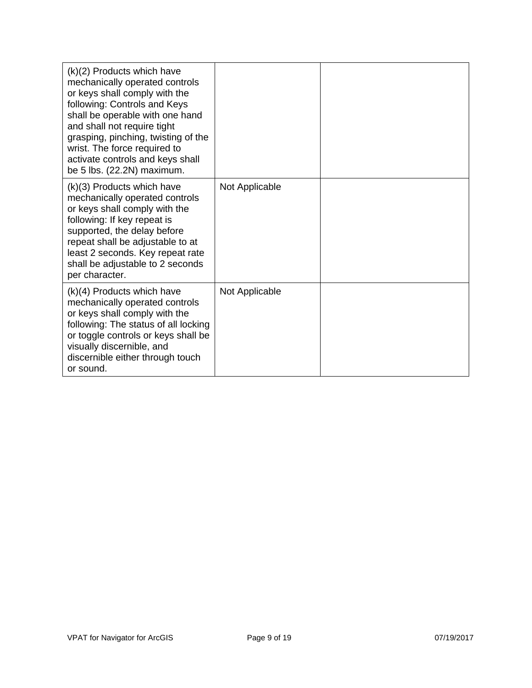| $(k)(2)$ Products which have<br>mechanically operated controls<br>or keys shall comply with the<br>following: Controls and Keys<br>shall be operable with one hand<br>and shall not require tight<br>grasping, pinching, twisting of the<br>wrist. The force required to<br>activate controls and keys shall<br>be 5 lbs. (22.2N) maximum. |                |  |
|--------------------------------------------------------------------------------------------------------------------------------------------------------------------------------------------------------------------------------------------------------------------------------------------------------------------------------------------|----------------|--|
| $(k)(3)$ Products which have<br>mechanically operated controls<br>or keys shall comply with the<br>following: If key repeat is<br>supported, the delay before<br>repeat shall be adjustable to at<br>least 2 seconds. Key repeat rate<br>shall be adjustable to 2 seconds<br>per character.                                                | Not Applicable |  |
| $(k)(4)$ Products which have<br>mechanically operated controls<br>or keys shall comply with the<br>following: The status of all locking<br>or toggle controls or keys shall be<br>visually discernible, and<br>discernible either through touch<br>or sound.                                                                               | Not Applicable |  |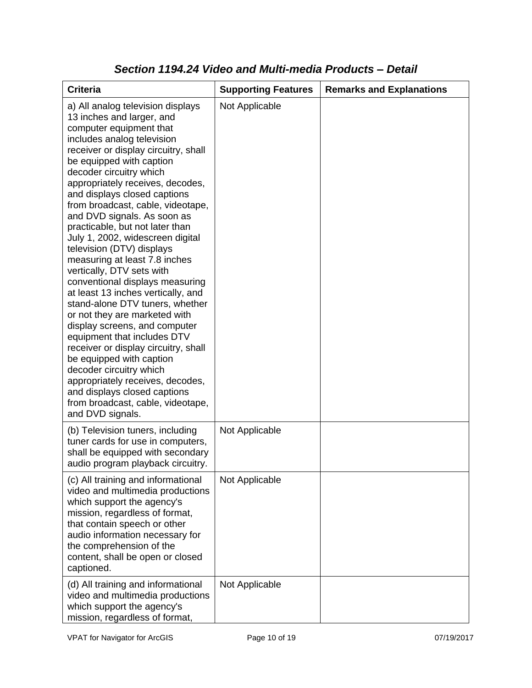| <b>Criteria</b>                                                                                                                                                                                                                                                                                                                                                                                                                                                                                                                                                                                                                                                                                                                                                                                                                                                                                                                                                           | <b>Supporting Features</b> | <b>Remarks and Explanations</b> |
|---------------------------------------------------------------------------------------------------------------------------------------------------------------------------------------------------------------------------------------------------------------------------------------------------------------------------------------------------------------------------------------------------------------------------------------------------------------------------------------------------------------------------------------------------------------------------------------------------------------------------------------------------------------------------------------------------------------------------------------------------------------------------------------------------------------------------------------------------------------------------------------------------------------------------------------------------------------------------|----------------------------|---------------------------------|
| a) All analog television displays<br>13 inches and larger, and<br>computer equipment that<br>includes analog television<br>receiver or display circuitry, shall<br>be equipped with caption<br>decoder circuitry which<br>appropriately receives, decodes,<br>and displays closed captions<br>from broadcast, cable, videotape,<br>and DVD signals. As soon as<br>practicable, but not later than<br>July 1, 2002, widescreen digital<br>television (DTV) displays<br>measuring at least 7.8 inches<br>vertically, DTV sets with<br>conventional displays measuring<br>at least 13 inches vertically, and<br>stand-alone DTV tuners, whether<br>or not they are marketed with<br>display screens, and computer<br>equipment that includes DTV<br>receiver or display circuitry, shall<br>be equipped with caption<br>decoder circuitry which<br>appropriately receives, decodes,<br>and displays closed captions<br>from broadcast, cable, videotape,<br>and DVD signals. | Not Applicable             |                                 |
| (b) Television tuners, including<br>tuner cards for use in computers,<br>shall be equipped with secondary<br>audio program playback circuitry.                                                                                                                                                                                                                                                                                                                                                                                                                                                                                                                                                                                                                                                                                                                                                                                                                            | Not Applicable             |                                 |
| (c) All training and informational<br>video and multimedia productions<br>which support the agency's<br>mission, regardless of format,<br>that contain speech or other<br>audio information necessary for<br>the comprehension of the<br>content, shall be open or closed<br>captioned.                                                                                                                                                                                                                                                                                                                                                                                                                                                                                                                                                                                                                                                                                   | Not Applicable             |                                 |
| (d) All training and informational<br>video and multimedia productions<br>which support the agency's<br>mission, regardless of format,                                                                                                                                                                                                                                                                                                                                                                                                                                                                                                                                                                                                                                                                                                                                                                                                                                    | Not Applicable             |                                 |

### *Section 1194.24 Video and Multi-media Products – Detail*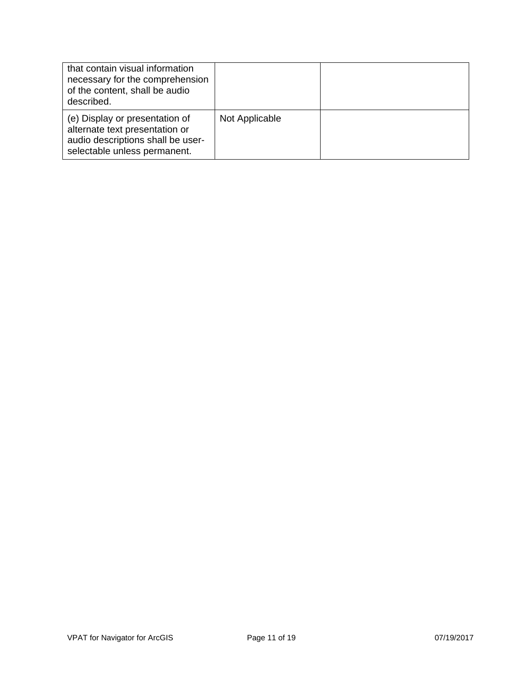| that contain visual information<br>necessary for the comprehension<br>of the content, shall be audio<br>described.                    |                |  |
|---------------------------------------------------------------------------------------------------------------------------------------|----------------|--|
| (e) Display or presentation of<br>alternate text presentation or<br>audio descriptions shall be user-<br>selectable unless permanent. | Not Applicable |  |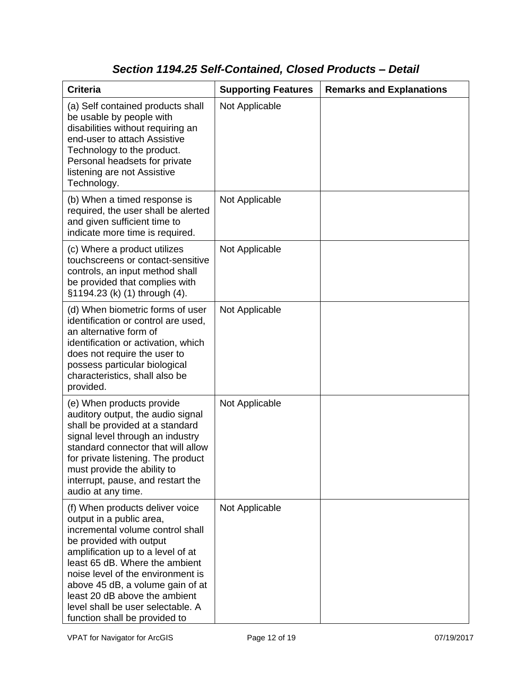# *Section 1194.25 Self-Contained, Closed Products – Detail*

| <b>Criteria</b>                                                                                                                                                                                                                                                                                                                                                                   | <b>Supporting Features</b> | <b>Remarks and Explanations</b> |
|-----------------------------------------------------------------------------------------------------------------------------------------------------------------------------------------------------------------------------------------------------------------------------------------------------------------------------------------------------------------------------------|----------------------------|---------------------------------|
| (a) Self contained products shall<br>be usable by people with<br>disabilities without requiring an<br>end-user to attach Assistive<br>Technology to the product.<br>Personal headsets for private<br>listening are not Assistive<br>Technology.                                                                                                                                   | Not Applicable             |                                 |
| (b) When a timed response is<br>required, the user shall be alerted<br>and given sufficient time to<br>indicate more time is required.                                                                                                                                                                                                                                            | Not Applicable             |                                 |
| (c) Where a product utilizes<br>touchscreens or contact-sensitive<br>controls, an input method shall<br>be provided that complies with<br>§1194.23 (k) (1) through (4).                                                                                                                                                                                                           | Not Applicable             |                                 |
| (d) When biometric forms of user<br>identification or control are used,<br>an alternative form of<br>identification or activation, which<br>does not require the user to<br>possess particular biological<br>characteristics, shall also be<br>provided.                                                                                                                          | Not Applicable             |                                 |
| (e) When products provide<br>auditory output, the audio signal<br>shall be provided at a standard<br>signal level through an industry<br>standard connector that will allow<br>for private listening. The product<br>must provide the ability to<br>interrupt, pause, and restart the<br>audio at any time.                                                                       | Not Applicable             |                                 |
| (f) When products deliver voice<br>output in a public area,<br>incremental volume control shall<br>be provided with output<br>amplification up to a level of at<br>least 65 dB. Where the ambient<br>noise level of the environment is<br>above 45 dB, a volume gain of at<br>least 20 dB above the ambient<br>level shall be user selectable. A<br>function shall be provided to | Not Applicable             |                                 |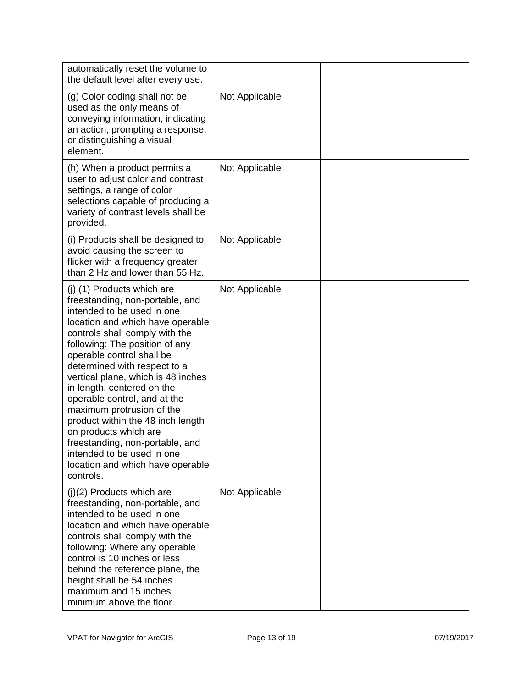| automatically reset the volume to<br>the default level after every use.                                                                                                                                                                                                                                                                                                                                                                                                                                                                                                           |                |  |
|-----------------------------------------------------------------------------------------------------------------------------------------------------------------------------------------------------------------------------------------------------------------------------------------------------------------------------------------------------------------------------------------------------------------------------------------------------------------------------------------------------------------------------------------------------------------------------------|----------------|--|
| (g) Color coding shall not be<br>used as the only means of<br>conveying information, indicating<br>an action, prompting a response,<br>or distinguishing a visual<br>element.                                                                                                                                                                                                                                                                                                                                                                                                     | Not Applicable |  |
| (h) When a product permits a<br>user to adjust color and contrast<br>settings, a range of color<br>selections capable of producing a<br>variety of contrast levels shall be<br>provided.                                                                                                                                                                                                                                                                                                                                                                                          | Not Applicable |  |
| (i) Products shall be designed to<br>avoid causing the screen to<br>flicker with a frequency greater<br>than 2 Hz and lower than 55 Hz.                                                                                                                                                                                                                                                                                                                                                                                                                                           | Not Applicable |  |
| (j) (1) Products which are<br>freestanding, non-portable, and<br>intended to be used in one<br>location and which have operable<br>controls shall comply with the<br>following: The position of any<br>operable control shall be<br>determined with respect to a<br>vertical plane, which is 48 inches<br>in length, centered on the<br>operable control, and at the<br>maximum protrusion of the<br>product within the 48 inch length<br>on products which are<br>freestanding, non-portable, and<br>intended to be used in one<br>location and which have operable<br>controls. | Not Applicable |  |
| $(j)(2)$ Products which are<br>freestanding, non-portable, and<br>intended to be used in one<br>location and which have operable<br>controls shall comply with the<br>following: Where any operable<br>control is 10 inches or less<br>behind the reference plane, the<br>height shall be 54 inches<br>maximum and 15 inches<br>minimum above the floor.                                                                                                                                                                                                                          | Not Applicable |  |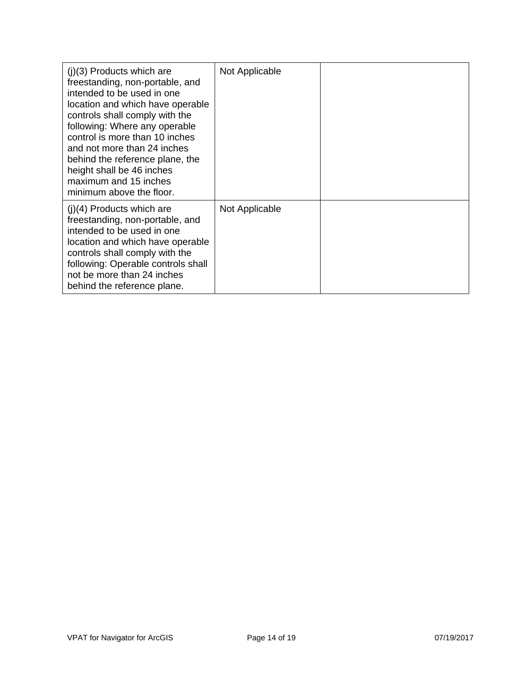| $(i)(3)$ Products which are<br>freestanding, non-portable, and<br>intended to be used in one<br>location and which have operable<br>controls shall comply with the<br>following: Where any operable<br>control is more than 10 inches<br>and not more than 24 inches<br>behind the reference plane, the<br>height shall be 46 inches<br>maximum and 15 inches<br>minimum above the floor. | Not Applicable |  |
|-------------------------------------------------------------------------------------------------------------------------------------------------------------------------------------------------------------------------------------------------------------------------------------------------------------------------------------------------------------------------------------------|----------------|--|
| $(j)(4)$ Products which are<br>freestanding, non-portable, and<br>intended to be used in one<br>location and which have operable<br>controls shall comply with the<br>following: Operable controls shall<br>not be more than 24 inches<br>behind the reference plane.                                                                                                                     | Not Applicable |  |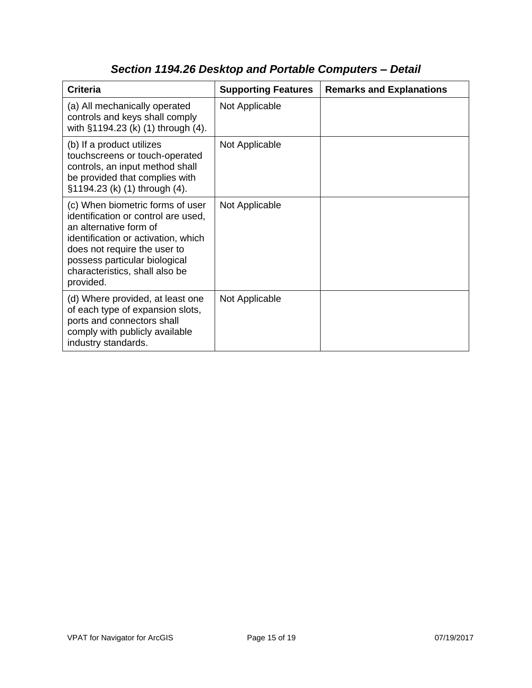| <b>Criteria</b>                                                                                                                                                                                                                                          | <b>Supporting Features</b> | <b>Remarks and Explanations</b> |
|----------------------------------------------------------------------------------------------------------------------------------------------------------------------------------------------------------------------------------------------------------|----------------------------|---------------------------------|
| (a) All mechanically operated<br>controls and keys shall comply<br>with §1194.23 (k) (1) through (4).                                                                                                                                                    | Not Applicable             |                                 |
| (b) If a product utilizes<br>touchscreens or touch-operated<br>controls, an input method shall<br>be provided that complies with<br>§1194.23 (k) (1) through (4).                                                                                        | Not Applicable             |                                 |
| (c) When biometric forms of user<br>identification or control are used,<br>an alternative form of<br>identification or activation, which<br>does not require the user to<br>possess particular biological<br>characteristics, shall also be<br>provided. | Not Applicable             |                                 |
| (d) Where provided, at least one<br>of each type of expansion slots,<br>ports and connectors shall<br>comply with publicly available<br>industry standards.                                                                                              | Not Applicable             |                                 |

# *Section 1194.26 Desktop and Portable Computers – Detail*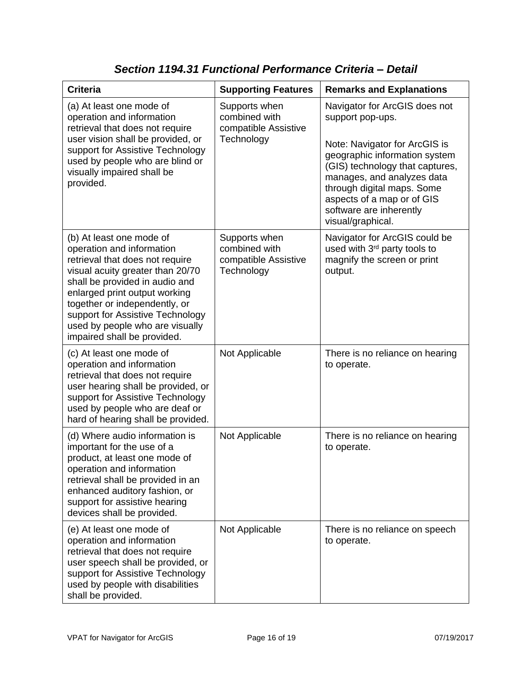| <b>Criteria</b>                                                                                                                                                                                                                                                                                                                        | <b>Supporting Features</b>                                           | <b>Remarks and Explanations</b>                                                                                                                                                                                                                                                                  |
|----------------------------------------------------------------------------------------------------------------------------------------------------------------------------------------------------------------------------------------------------------------------------------------------------------------------------------------|----------------------------------------------------------------------|--------------------------------------------------------------------------------------------------------------------------------------------------------------------------------------------------------------------------------------------------------------------------------------------------|
|                                                                                                                                                                                                                                                                                                                                        |                                                                      |                                                                                                                                                                                                                                                                                                  |
| (a) At least one mode of<br>operation and information<br>retrieval that does not require<br>user vision shall be provided, or<br>support for Assistive Technology<br>used by people who are blind or<br>visually impaired shall be<br>provided.                                                                                        | Supports when<br>combined with<br>compatible Assistive<br>Technology | Navigator for ArcGIS does not<br>support pop-ups.<br>Note: Navigator for ArcGIS is<br>geographic information system<br>(GIS) technology that captures,<br>manages, and analyzes data<br>through digital maps. Some<br>aspects of a map or of GIS<br>software are inherently<br>visual/graphical. |
| (b) At least one mode of<br>operation and information<br>retrieval that does not require<br>visual acuity greater than 20/70<br>shall be provided in audio and<br>enlarged print output working<br>together or independently, or<br>support for Assistive Technology<br>used by people who are visually<br>impaired shall be provided. | Supports when<br>combined with<br>compatible Assistive<br>Technology | Navigator for ArcGIS could be<br>used with 3rd party tools to<br>magnify the screen or print<br>output.                                                                                                                                                                                          |
| (c) At least one mode of<br>operation and information<br>retrieval that does not require<br>user hearing shall be provided, or<br>support for Assistive Technology<br>used by people who are deaf or<br>hard of hearing shall be provided.                                                                                             | Not Applicable                                                       | There is no reliance on hearing<br>to operate.                                                                                                                                                                                                                                                   |
| (d) Where audio information is<br>important for the use of a<br>product, at least one mode of<br>operation and information<br>retrieval shall be provided in an<br>enhanced auditory fashion, or<br>support for assistive hearing<br>devices shall be provided.                                                                        | Not Applicable                                                       | There is no reliance on hearing<br>to operate.                                                                                                                                                                                                                                                   |
| (e) At least one mode of<br>operation and information<br>retrieval that does not require<br>user speech shall be provided, or<br>support for Assistive Technology<br>used by people with disabilities<br>shall be provided.                                                                                                            | Not Applicable                                                       | There is no reliance on speech<br>to operate.                                                                                                                                                                                                                                                    |

### *Section 1194.31 Functional Performance Criteria – Detail*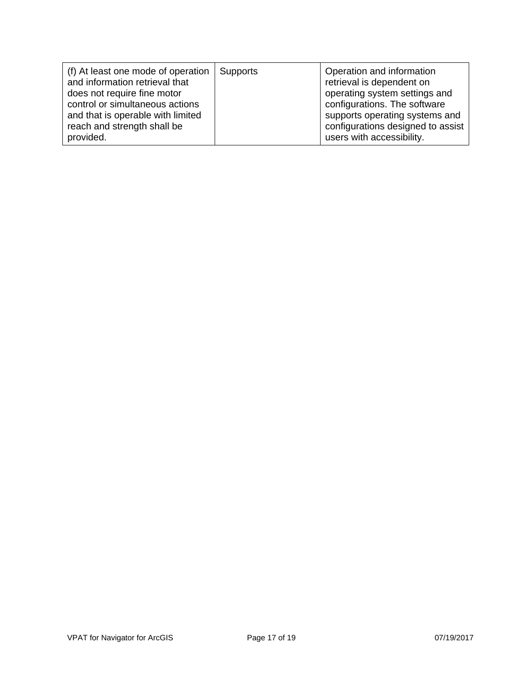| (f) At least one mode of operation<br>and information retrieval that<br>does not require fine motor<br>control or simultaneous actions<br>and that is operable with limited<br>reach and strength shall be | Supports | Operation and information<br>retrieval is dependent on<br>operating system settings and<br>configurations. The software<br>supports operating systems and<br>configurations designed to assist |
|------------------------------------------------------------------------------------------------------------------------------------------------------------------------------------------------------------|----------|------------------------------------------------------------------------------------------------------------------------------------------------------------------------------------------------|
| provided.                                                                                                                                                                                                  |          | users with accessibility.                                                                                                                                                                      |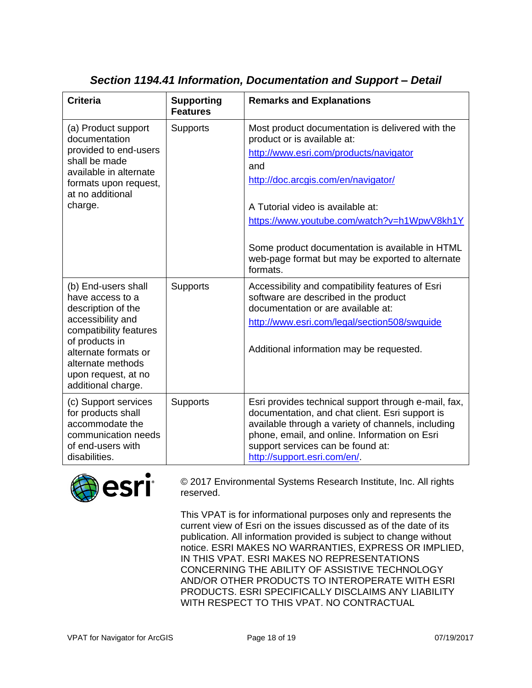| <b>Criteria</b>                                                                                                                                                                                                          | <b>Supporting</b><br><b>Features</b> | <b>Remarks and Explanations</b>                                                                                                                                                                                                                                                                                                                                                |
|--------------------------------------------------------------------------------------------------------------------------------------------------------------------------------------------------------------------------|--------------------------------------|--------------------------------------------------------------------------------------------------------------------------------------------------------------------------------------------------------------------------------------------------------------------------------------------------------------------------------------------------------------------------------|
| (a) Product support<br>documentation<br>provided to end-users<br>shall be made<br>available in alternate<br>formats upon request,<br>at no additional<br>charge.                                                         | <b>Supports</b>                      | Most product documentation is delivered with the<br>product or is available at:<br>http://www.esri.com/products/navigator<br>and<br>http://doc.arcgis.com/en/navigator/<br>A Tutorial video is available at:<br>https://www.youtube.com/watch?v=h1WpwV8kh1Y<br>Some product documentation is available in HTML<br>web-page format but may be exported to alternate<br>formats. |
| (b) End-users shall<br>have access to a<br>description of the<br>accessibility and<br>compatibility features<br>of products in<br>alternate formats or<br>alternate methods<br>upon request, at no<br>additional charge. | <b>Supports</b>                      | Accessibility and compatibility features of Esri<br>software are described in the product<br>documentation or are available at:<br>http://www.esri.com/legal/section508/swguide<br>Additional information may be requested.                                                                                                                                                    |
| (c) Support services<br>for products shall<br>accommodate the<br>communication needs<br>of end-users with<br>disabilities.                                                                                               | <b>Supports</b>                      | Esri provides technical support through e-mail, fax,<br>documentation, and chat client. Esri support is<br>available through a variety of channels, including<br>phone, email, and online. Information on Esri<br>support services can be found at:<br>http://support.esri.com/en/.                                                                                            |

### *Section 1194.41 Information, Documentation and Support – Detail*



© 2017 Environmental Systems Research Institute, Inc. All rights reserved.

This VPAT is for informational purposes only and represents the current view of Esri on the issues discussed as of the date of its publication. All information provided is subject to change without notice. ESRI MAKES NO WARRANTIES, EXPRESS OR IMPLIED, IN THIS VPAT. ESRI MAKES NO REPRESENTATIONS CONCERNING THE ABILITY OF ASSISTIVE TECHNOLOGY AND/OR OTHER PRODUCTS TO INTEROPERATE WITH ESRI PRODUCTS. ESRI SPECIFICALLY DISCLAIMS ANY LIABILITY WITH RESPECT TO THIS VPAT. NO CONTRACTUAL